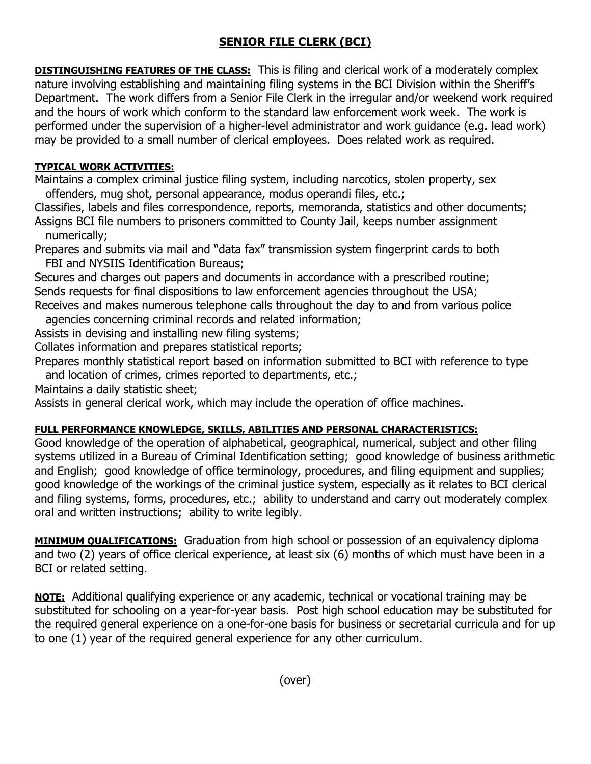## **SENIOR FILE CLERK (BCI)**

**DISTINGUISHING FEATURES OF THE CLASS:** This is filing and clerical work of a moderately complex nature involving establishing and maintaining filing systems in the BCI Division within the Sheriff's Department. The work differs from a Senior File Clerk in the irregular and/or weekend work required and the hours of work which conform to the standard law enforcement work week. The work is performed under the supervision of a higher-level administrator and work guidance (e.g. lead work) may be provided to a small number of clerical employees. Does related work as required.

## **TYPICAL WORK ACTIVITIES:**

Maintains a complex criminal justice filing system, including narcotics, stolen property, sex offenders, mug shot, personal appearance, modus operandi files, etc.;

Classifies, labels and files correspondence, reports, memoranda, statistics and other documents; Assigns BCI file numbers to prisoners committed to County Jail, keeps number assignment numerically;

Prepares and submits via mail and "data fax" transmission system fingerprint cards to both FBI and NYSIIS Identification Bureaus;

Secures and charges out papers and documents in accordance with a prescribed routine; Sends requests for final dispositions to law enforcement agencies throughout the USA; Receives and makes numerous telephone calls throughout the day to and from various police

agencies concerning criminal records and related information;

Assists in devising and installing new filing systems;

Collates information and prepares statistical reports;

Prepares monthly statistical report based on information submitted to BCI with reference to type and location of crimes, crimes reported to departments, etc.;

Maintains a daily statistic sheet;

Assists in general clerical work, which may include the operation of office machines.

## **FULL PERFORMANCE KNOWLEDGE, SKILLS, ABILITIES AND PERSONAL CHARACTERISTICS:**

Good knowledge of the operation of alphabetical, geographical, numerical, subject and other filing systems utilized in a Bureau of Criminal Identification setting; good knowledge of business arithmetic and English; good knowledge of office terminology, procedures, and filing equipment and supplies; good knowledge of the workings of the criminal justice system, especially as it relates to BCI clerical and filing systems, forms, procedures, etc.; ability to understand and carry out moderately complex oral and written instructions; ability to write legibly.

**MINIMUM QUALIFICATIONS:** Graduation from high school or possession of an equivalency diploma and two (2) years of office clerical experience, at least six (6) months of which must have been in a BCI or related setting.

**NOTE:** Additional qualifying experience or any academic, technical or vocational training may be substituted for schooling on a year-for-year basis. Post high school education may be substituted for the required general experience on a one-for-one basis for business or secretarial curricula and for up to one (1) year of the required general experience for any other curriculum.